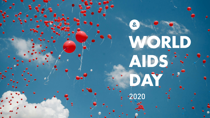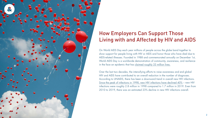![](_page_1_Picture_5.jpeg)

On World AIDS Day each year millions of people across the globe band together to show support for people living with HIV or AIDS and honor those who have died due to AIDS-related illnesses. Founded in 1988 and commemorated annually on December 1st, World AIDS Day is a worldwide demonstration of community, awareness, and resilience in the face an epidemic that ha[s claimed roughly 33 million lives.](https://www.unaids.org/en/resources/fact-sheet)

Over the last two decades, the intensifying efforts to raise awareness and end global HIV and AIDS have contributed to an overall reduction in the number of diagnoses. According to UNAIDS, there has been a downward trend in overall new HIV infections. [Since the peak of infections in 1998, new HIV infections have declined 40%](https://www.unaids.org/en/resources/fact-sheet) – new HIV infections were roughly 2.8 million in 1998 compared to 1.7 million in 2019. Even from 2010 to 2019, there was an estimated 23% decline in new HIV infections overall.

![](_page_1_Picture_0.jpeg)

![](_page_1_Picture_1.jpeg)

# How Employers Can Support Those Living with and Affected by HIV and AIDS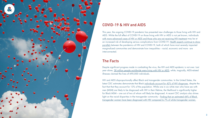3

This year, the ongoing COVID-19 pandemic has presented new challenges to those living with HIV and AIDS. While the full effect of COVID-19 on those living with HIV or AIDS is not yet known, individuals [with more advanced cases of HIV or AIDS and those who are not receiving HIV treatment m](https://www.cdc.gov/coronavirus/2019-ncov/need-extra-precautions/people-with-medical-conditions.html?CDC_AA_refVal=https%3A%2F%2Fwww.cdc.gov%2Fcoronavirus%2F2019-ncov%2Fneed-extra-precautions%2Fgroups-at-higher-risk.html#immunocompromised-state)ay be at an increased risk of developing serious complications from COVID-19. Health experts continue to draw [parallels b](https://spark.adobe.com/page/OdpIRTRApOghp/)etween the pandemics of HIV and COVID-19, both of which have most severely impacted marginalized communities and demonstrate how inequalities – racial, economic and more - are interconnected.

![](_page_2_Picture_0.jpeg)

![](_page_2_Picture_1.jpeg)

## COVID-19 & HIV and AIDS

Despite significant progress made in combatting the virus, the HIV and AIDS epidemic is not over. Last year alone, [38 million people worldwide were living with HIV or AIDS,](https://www.who.int/data/gho/data/themes/topics/topic-details/GHO/deaths) while, tragically, AIDS-related illnesses claimed the lives of 690,000 individuals.

HIV and AIDS disproportionally affect Black and transgender communities. In the United States, the latest CDC estimates demonstrate that Black [individuals account for 42% of HIV diagnoses,](https://www.cdc.gov/hiv/group/racialethnic/africanamericans/index.html) despite the fact that that they account for 13% of the population. While one in six white men who have sex with men (MSM) are likely to be diagnosed with HIV in their lifetime, the likelihood is significantly higher for Black MSM – one out of two of whom will likely be diagnosed. A recent CDC analysis also shines light on the racial disparities in the transgender community – finding that an estimated 44% of Black [transgender women have been diagnosed with HIV compared to 7% of white transgender women.](https://www.cdc.gov/hiv/group/gender/transgender/index.html)

![](_page_2_Figure_7.jpeg)

## The Facts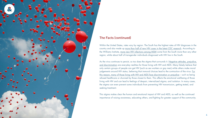![](_page_3_Picture_5.jpeg)

![](_page_3_Picture_0.jpeg)

## The Facts (continued)

Within the United States, rates vary by region. The South has the highest rates of HIV diagnoses in the country and also made u[p more than half of new HIV cases in the latest CDC research.](https://www.cdc.gov/hiv/statistics/overview/geographicdistribution.html) According to the Williams Institute, [more new HIV infections among MSM c](https://williamsinstitute.law.ucla.edu/lgbtdivide/#/health)ome from the South more than any other region, while about half of transgender individuals diagnosed with HIV live in the South.

As the virus continues to persist, so too does the stigma that surrounds it. Negative attitudes, prejudice, [and discrimination](https://www.avert.org/professionals/hiv-social-issues/stigma-discrimination) are everyday realities for those living with HIV and AIDS. Many falsely believe that only certain groups of people can get HIV (such as sex workers or gay men) while others make moral judgements around HIV status, believing that immoral choices lead to the contraction of the virus. For [this reason, many of those living with HIV and AIDS face discrimination or prejudice](https://www.cdc.gov/hiv/basics/hiv-stigma/index.html) – such as being refused healthcare or shunned by those closest to them. This affects the emotional well-being of those living with HIV and can lead to feelings of despair, internalized stigma, and isolation. In many cases, the stigma can even prevent some individuals from preventing HIV transmission, getting tested, and seeking treatment.

This stigma makes clear the human and emotional impact of HIV and AIDS, as well as the continued importance of raising awareness, educating others, and fighting for greater support of the community.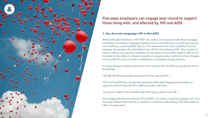5

While shorthanded references to "HIV/AIDS" are common, it is important in both official messaging and informal conversations to distinguish between human immunodeficiency virus (HIV) and acquired immunodeficiency syndrome (AIDS). Because of the development and wider availability of antiviral treatments, most people in the United States living with HIV will not develop AIDS. Many members of today's workforce were exposed to headlines and conversations about deaths related to AIDS as their first entrée into the subject. It is therefore imperative to recognize today's reality that millions of people are living with HIV and to not reaffirm outdated fears or stereotypes implying otherwise.

In framing messages, employers should take care to separate HIV and AIDS by using phrases such as the following:

*"We offer the following benefits and support for those living with HIV…"*

*"On this World AIDS Day, we remember those lost to AIDS-related illnesses and we reaffirm our support for all those living with HIV or AIDS around the world today…"*

*"For inquiries related to HIV and AIDS-related EAP support, please contact HR…"*

![](_page_4_Picture_0.jpeg)

## Five ways employers can engage year-round to support those living with, and affected by, HIV and AIDS

### **1. Use Accurate Language: HIV is Not AIDS**

Acknowledging the distinction between HIV and AIDS is not simply a superficial language tweak, but a meaningful statement demonstrating an employer or individual's understanding of the lived realities for millions of people today.

![](_page_4_Figure_9.jpeg)

![](_page_4_Picture_13.jpeg)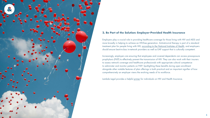![](_page_5_Picture_12.jpeg)

Employers play a crucial role in providing healthcare coverage for those living with HIV and AIDS and more broadly in helping to achieve an HIV-free generation. Antiretroviral therapy is part of a standard treatment plan for people living with HIV, [according to the National Institutes of Health, a](https://aidsinfo.nih.gov/understanding-hiv-aids/fact-sheets/21/51/hiv-treatment--the-basics)nd employers should ensure best-in-class in-network providers as well as EAP support that is culturally competent.

Increasingly, employers are ensuring that employees and covered dependents can access pre-exposure prophylaxis (PrEP) to effectively prevent the transmission of HIV. They can also work with their insurers to assess network coverage and healthcare professionals with appropriate cultural competence to administer and monitor patients on PrEP. Spotlighting these benefits during open enrollment alongside other notable features of plan offerings is both practical and an important signifier of how comprehensively an employer views the evolving needs of its workforce.

Lambda Legal provides a helpful [primer](https://www.lambdalegal.org/know-your-rights/article/hiv-health-insurance) for individuals on HIV and Health Insurance.

![](_page_5_Figure_5.jpeg)

![](_page_5_Picture_0.jpeg)

## **2. Be Part of the Solution: Employer-Provided Health Insurance**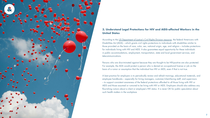![](_page_6_Picture_14.jpeg)

According to the [US Department of Justice's Civil Rights Division resource,](https://www.ada.gov/hiv/) the federal Americans with Disabilities Act (ADA) – which grants civil rights protections to individuals with disabilities similar to those provided on the basis of race, color, sex, national origin, age, and religion – includes protections for individuals living with HIV and AIDS. It also guarantees equal opportunity for these individuals in public accommodations, employment, transportation, state and local government services, and telecommunications.

Persons who are discriminated against because they are thought to be HIV-positive are also protected. For example, the ADA would protect a person who is denied an occupational license or job on the basis of a rumor or assumption that the individual has HIV or AIDS, even if that is not true.

A best practice for employers is to periodically review and refresh trainings, educational materials, and employee handbooks – especially for hiring managers, customer/client-facing staff, and supervisors – to support consistent awareness of the federal protections afforded to all those living with HIV or AIDS and those assumed or rumored to be living with HIV or AIDS. Employers should also address any flourishing rumors about a client or employee's HIV status. It is never OK for public speculation about such health matters in the workplace.

![](_page_6_Figure_6.jpeg)

![](_page_6_Figure_7.jpeg)

![](_page_6_Figure_8.jpeg)

![](_page_6_Figure_9.jpeg)

![](_page_6_Picture_10.jpeg)

![](_page_6_Picture_11.jpeg)

![](_page_6_Picture_12.jpeg)

![](_page_6_Picture_13.jpeg)

![](_page_6_Picture_0.jpeg)

![](_page_6_Picture_1.jpeg)

### **3. Understand Legal Protections for HIV and AIDS-affected Workers in the United States**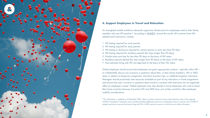![](_page_7_Picture_17.jpeg)

- 1. HIV testing required for work permits.
- 2. HIV testing required for study permits.
- 3. HIV testing or disclosure required for certain permits or entry less than 90 days.
- 4. HIV testing required for residency permits (for stays longer than 90 days).
- 5. Prohibit entry and stay for less than 90 days on the basis of HIV status.
- 6. Residency permits denied (for stays longer than 90 days) on the basis of HIV status.
- 7. Non-nationals living with HIV are deported on the basis of their HIV status.

Global employers should ensure that employees are given appropriate contacts – typically within HR – to confidentially discuss any concerns or questions about their, or their family member's, HIV or AIDS status in relation to temporary assignment, short-term business trips, or indefinite long-term relocation. Managers should proactively note resources available as part of any relocation or travel assignments and ensure that one's concerns or questions about travel to countries with restrictions do not negatively affect an employee's career. Global employers may also decide to move employees who wish to leave their home countries because of punitive HIV and AIDS laws, just as they would for other employee mobility considerations.

![](_page_7_Picture_0.jpeg)

![](_page_7_Picture_1.jpeg)

### **4. Support Employees in Travel and Relocation**

An ever-global mobile workforce demands supportive infrastructure for employees and/or their family members who are HIV positive.\* According t[o UNAIDS,](https://www.unaids.org/sites/default/files/media_asset/hiv-related-travel-restrictions-explainer_en.pdf) around the world, 48 countries have HIVrelated travel restrictions, namely:

\*This information is updated as of December 2020. Many countries continue to have travel restrictions due to the ongoing COVID-19 pandemic. Employers may consider providing additional resources to employees living in countries with COVID-19 related restrictions to ensure that those living with HIV or AIDS maintain access to critical services without disruption.

![](_page_7_Figure_13.jpeg)

![](_page_7_Figure_14.jpeg)

![](_page_7_Picture_15.jpeg)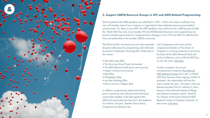![](_page_8_Picture_16.jpeg)

The first patient of the AIDS epidemic was identified in 1981 – which with today's workforce may very well predate some of your company or organization's key employee resource group leaders' consciousness. For others in your ERG, the AIDS epidemic may continue to be a defining part of adult life. World AIDS Day and, more broadly, HIV and AIDS-themed discussions and programming can present valuable opportunities for intergenerational dialogue on how HIV and AIDS has affected their lives and relationship to the broader LGBTQ community.

![](_page_8_Picture_0.jpeg)

### **5. Support LGBTQ Resource Groups in HIV and AIDS-Related Programming**

and Congressman John Lewis joined congressional leaders at The Library of Congress in a moving ceremony to announce the future of the AIDS Memorial Quilt and Archive Collection, prior to World AIDS Day. To view the event[, click here.](https://www.youtube.com/watch?v=hKl3PZzKgqs)

The following films and events are just a few examples of great centerpieces for programming when followed by panels of employees discussing their relationship to the content.

> Another example is the annual commemoration hosted by [The National](https://www.aidsmemorial.org/grove)  [AIDS Memorial Grove](https://www.aidsmemorial.org/grove) every year on World AIDS Day. Because of the ongoing COVID-19 pandemic, the organization will host this event virtually this year. The event is free and features keynotes from Dr. Anthony S. Fauci, Director of the National Institute of Allergy and Infectious Diseases, and Dr. David D. Ho, Director of the Aaron Diamond AIDS Research Center at Columbia University. To learn more, [click here.](https://www.aidsmemorial.org/wad2020)

![](_page_8_Figure_15.jpeg)

- *• [We Were Here \(film\)](https://wewereherefilm.com/)*
- *• [The Surviving Voices Project \(miniseries\)](https://www.aidsmemorial.org/surviving-voices)*
- *• [The AIDS Memorial Quilt \(event and resource\)](https://www.aidsmemorial.org/quilt)*
- *• [Angels in America \(miniseries\)](https://www.hbo.com/angels-in-america)*
- *[Rent \(film\)](https://www.imdb.com/title/tt0294870/)*
- *[Philadelphia \(film\)](https://www.youtube.com/watch?v=LBP8QDlm6OA)*
- *[Last Men Standing \(film\)](https://projects.sfchronicle.com/2016/living-with-aids/documentary/)*
- *• [How to Survive a Plague \(film\)](https://surviveaplague.com/trailer)*

In addition, programming might entail taking part in community and national events that bring communities together in the fight against HIV/ AIDS and memorialize the lives lost to the epidemic. For instance, last year, Speaker Nancy Pelosi, Congresswoman Barbara Lee,